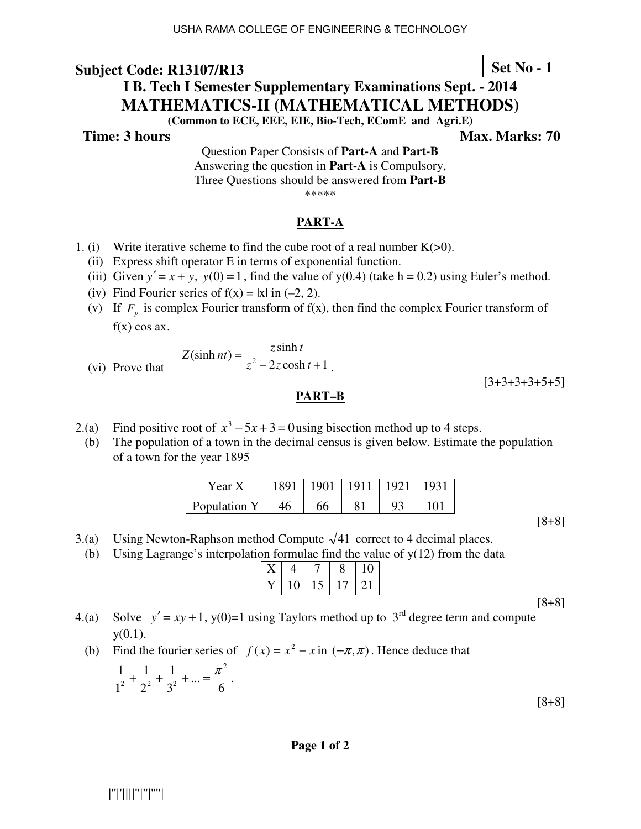# **Set No - 1**

# **I B. Tech I Semester Supplementary Examinations Sept. - 2014 MATHEMATICS-II (MATHEMATICAL METHODS)**

**(Common to ECE, EEE, EIE, Bio-Tech, EComE and Agri.E)** 

**Time: 3 hours** Max. Marks: 70

Question Paper Consists of **Part-A** and **Part-B** Answering the question in **Part-A** is Compulsory, Three Questions should be answered from **Part-B** \*\*\*\*\*

## **PART-A**

- 1. (i) Write iterative scheme to find the cube root of a real number  $K(>0)$ .
	- (ii) Express shift operator E in terms of exponential function.
	- (iii) Given  $y' = x + y$ ,  $y(0) = 1$ , find the value of  $y(0.4)$  (take h = 0.2) using Euler's method.
	- (iv) Find Fourier series of  $f(x) = |x|$  in (-2, 2).
- (v) If  $F_p$  is complex Fourier transform of  $f(x)$ , then find the complex Fourier transform of  $f(x)$  cos ax.

$$
Z(\sinh nt) = \frac{z \sinh t}{z^2 - 2z \cosh t + 1}
$$

 $(vi)$  Prove that

## **PART–B**

.

 $[3+3+3+3+5+5]$ 

- 2.(a) Find positive root of  $x^3 5x + 3 = 0$  using bisection method up to 4 steps.
	- (b) The population of a town in the decimal census is given below. Estimate the population of a town for the year 1895

| Year X       |     | 1891   1901   1911   1921   1931 |  |     |
|--------------|-----|----------------------------------|--|-----|
| Population Y | -46 | 66                               |  | 101 |

[8+8]

- 3.(a) Using Newton-Raphson method Compute  $\sqrt{41}$  correct to 4 decimal places.
	- (b) Using Lagrange's interpolation formulae find the value of  $y(12)$  from the data

| 10 | 15. | 17. |  |
|----|-----|-----|--|

- 4.(a) Solve  $y' = xy + 1$ , y(0)=1 using Taylors method up to 3<sup>rd</sup> degree term and compute  $y(0.1)$ .
- (b) Find the fourier series of  $f(x) = x^2 x$  in  $(-\pi, \pi)$ . Hence deduce that

$$
\frac{1}{1^2} + \frac{1}{2^2} + \frac{1}{3^2} + \dots = \frac{\pi^2}{6}.
$$
 [8+8]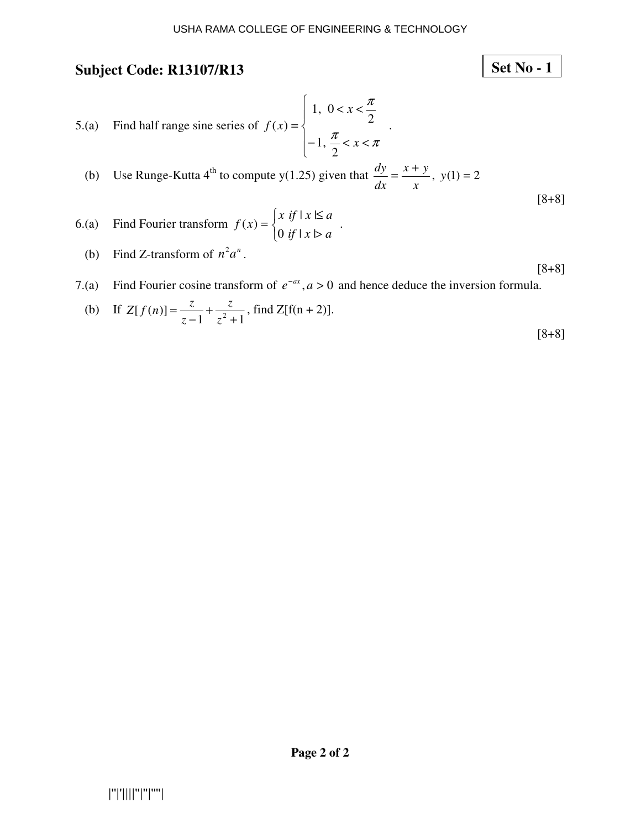**Set No - 1**

# **Subject Code: R13107/R13**

5.(a) Find half range sine series of 
$$
f(x) = \begin{cases} 1, & 0 < x < \frac{\pi}{2} \\ -1, & \frac{\pi}{2} < x < \pi \end{cases}
$$
  
\n(b) Use Runge-Kutta 4<sup>th</sup> to compute y(1.25) given that  $\frac{dy}{dx} = \frac{x+y}{x}$ , y(1) = 2 [8+8]  
\n6.(a) Find Fourier transform  $f(x) = \begin{cases} x & \text{if } 1 \le x \le a \\ 0 & \text{if } 1 \le x > a \end{cases}$ 

- (b) Find Z-transform of  $n^2 a^n$ .
- [8+8] 7.(a) Find Fourier cosine transform of  $e^{-ax}$ ,  $a > 0$  and hence deduce the inversion formula.

(b) If 
$$
Z[f(n)] = \frac{z}{z-1} + \frac{z}{z^2+1}
$$
, find  $Z[f(n+2)]$ .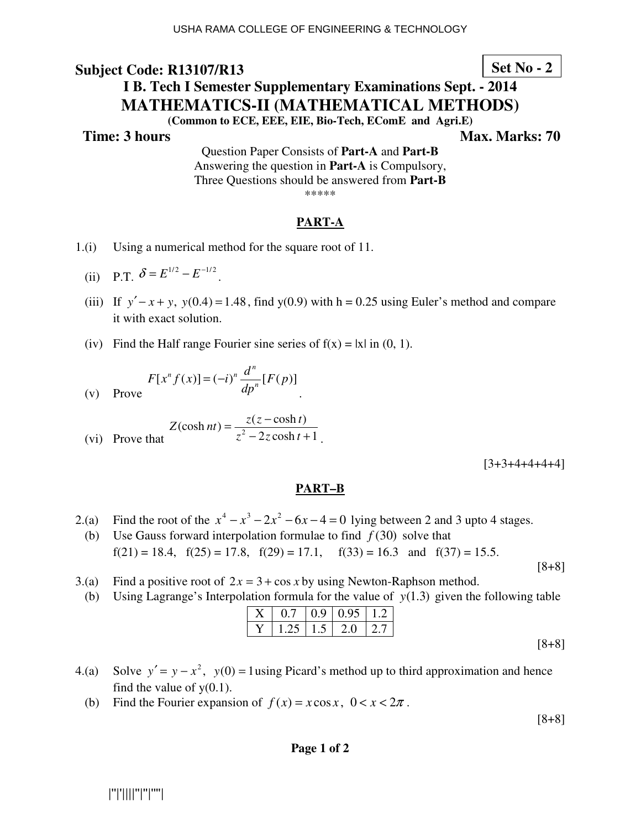## **Set No - 2**

# **I B. Tech I Semester Supplementary Examinations Sept. - 2014 MATHEMATICS-II (MATHEMATICAL METHODS)**

**(Common to ECE, EEE, EIE, Bio-Tech, EComE and Agri.E)** 

**Time: 3 hours** Max. Marks: 70

Question Paper Consists of **Part-A** and **Part-B** Answering the question in **Part-A** is Compulsory, Three Questions should be answered from **Part-B** \*\*\*\*\*

#### **PART-A**

- 1.(i) Using a numerical method for the square root of 11.
- (ii) P.T.  $\delta = E^{1/2} E^{-1/2}$ .
	- (iii) If  $y' x + y$ ,  $y(0.4) = 1.48$ , find  $y(0.9)$  with h = 0.25 using Euler's method and compare it with exact solution.
	- (iv) Find the Half range Fourier sine series of  $f(x) = |x|$  in (0, 1).

$$
F[x^{n} f(x)] = (-i)^{n} \frac{d^{n}}{dp^{n}} [F(p)]
$$
  
Prove

(v) Prove

(vi) Prove that 
$$
Z(\cosh nt) = \frac{z(z - \cosh t)}{z^2 - 2z \cosh t + 1}.
$$

 $[3+3+4+4+4+4]$ 

#### **PART–B**

2.(a) Find the root of the  $x^4 - x^3 - 2x^2 - 6x - 4 = 0$  lying between 2 and 3 upto 4 stages.

.

- (b) Use Gauss forward interpolation formulae to find  $f(30)$  solve that  $f(21) = 18.4$ ,  $f(25) = 17.8$ ,  $f(29) = 17.1$ ,  $f(33) = 16.3$  and  $f(37) = 15.5$ .
- 3.(a) Find a positive root of  $2x = 3 + \cos x$  by using Newton-Raphson method.
	- (b) Using Lagrange's Interpolation formula for the value of  $y(1.3)$  given the following table

| $X \mid 0.7 \mid 0.9 \mid 0.95 \mid 1.2 \mid$ |  |  |
|-----------------------------------------------|--|--|
| Y   1.25   1.5   2.0   2.7                    |  |  |
|                                               |  |  |

- 4.(a) Solve  $y' = y x^2$ ,  $y(0) = 1$  using Picard's method up to third approximation and hence find the value of  $y(0.1)$ .
	- (b) Find the Fourier expansion of  $f(x) = x\cos x$ ,  $0 < x < 2\pi$ .

[8+8]

[8+8]

#### **Page 1 of 2**

|''|'||||''|''|''''|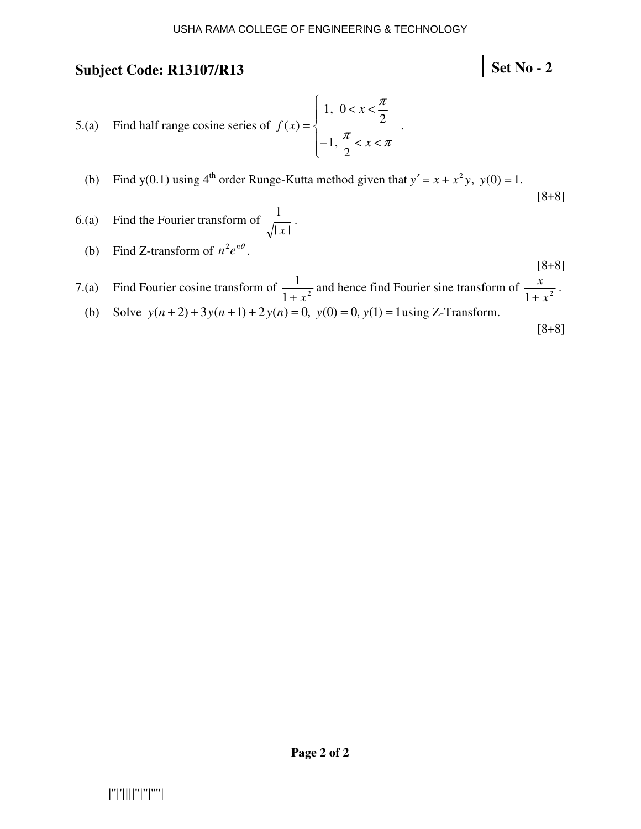- 5.(a) Find half range cosine series of  $\overline{ }$  $\overline{ }$  $\overline{\mathcal{L}}$  $\overline{\phantom{a}}$ ∤  $\int$  $-1, \frac{\pi}{2} < x <$  $\langle x \rangle$ =  $\frac{\pi}{\pi}$  < x <  $\pi$ π *x x f x* 2 ,1 2 0,1  $(x) = \left\{ \begin{array}{ccc} 1 & 2 \\ 1 & 1 \end{array} \right.$
- (b) Find y(0.1) using  $4^{\text{th}}$  order Runge-Kutta method given that  $y' = x + x^2 y$ ,  $y(0) = 1$ .

6.(a) Find the Fourier transform of 
$$
\frac{1}{\sqrt{|x|}}
$$
.

(b) Find Z-transform of  $n^2 e^{n\theta}$ .

[8+8]  
7.(a) Find Fourier cosine transform of 
$$
\frac{1}{1+x^2}
$$
 and hence find Fourier sine transform of  $\frac{x}{1+x^2}$ .

(b) Solve  $y(n+2) + 3y(n+1) + 2y(n) = 0$ ,  $y(0) = 0$ ,  $y(1) = 1$  using Z-Transform.

[8+8]

[8+8]

**Set No - 2**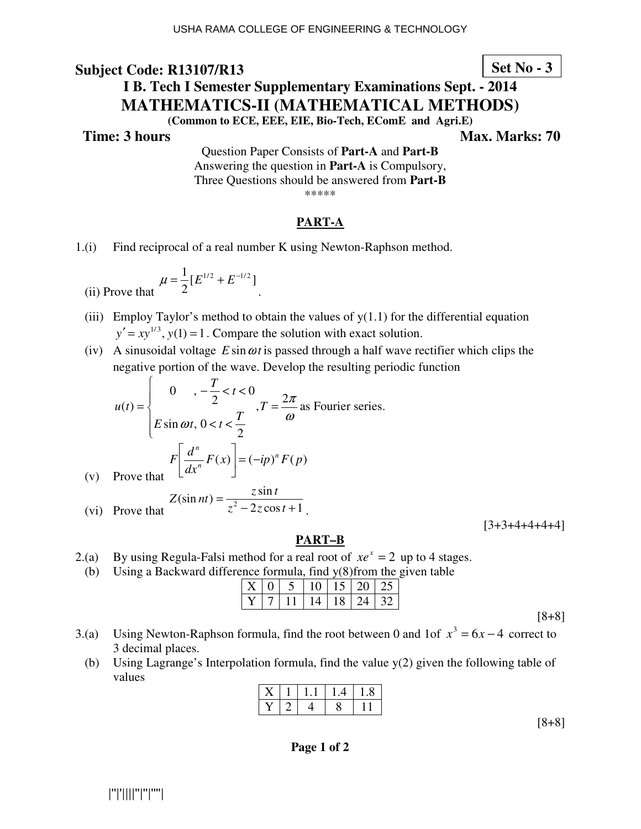# **Set No - 3**

# **I B. Tech I Semester Supplementary Examinations Sept. - 2014 MATHEMATICS-II (MATHEMATICAL METHODS)**

**(Common to ECE, EEE, EIE, Bio-Tech, EComE and Agri.E)** 

 $(v)$ 

**Time: 3 hours** Max. Marks: 70

Question Paper Consists of **Part-A** and **Part-B** Answering the question in **Part-A** is Compulsory, Three Questions should be answered from **Part-B** \*\*\*\*\*

## **PART-A**

1.(i) Find reciprocal of a real number K using Newton-Raphson method.

(ii) Prove that 
$$
\mu = \frac{1}{2} [E^{1/2} + E^{-1/2}]
$$

(iii) Employ Taylor's method to obtain the values of  $y(1.1)$  for the differential equation

 $y' = xy^{1/3}$ ,  $y(1) = 1$ . Compare the solution with exact solution.

(iv) A sinusoidal voltage  $E \sin \omega t$  is passed through a half wave rectifier which clips the negative portion of the wave. Develop the resulting periodic function

$$
u(t) = \begin{cases} 0, & -\frac{T}{2} < t < 0 \\ E \sin \omega t, & 0 < t < \frac{T}{2} \end{cases}
$$
,  $T = \frac{2\pi}{\omega}$  as Fourier series.  

$$
F\left[\frac{d^n}{dx^n}F(x)\right] = (-ip)^n F(p)
$$
Prove that

(vi) Prove that 
$$
Z(\sin nt) = \frac{z \sin t}{z^2 - 2z \cos t + 1}.
$$

 $[3+3+4+4+4+4]$ 

## **PART–B**

- 2.(a) By using Regula-Falsi method for a real root of  $xe^x = 2$  up to 4 stages.
- (b) Using a Backward difference formula, find y(8)from the given table

|  | X   0   5   10   15   20   25 |  |  |
|--|-------------------------------|--|--|
|  | 7   11   14   18   24   32    |  |  |

- 3.(a) Using Newton-Raphson formula, find the root between 0 and 1of  $x^3 = 6x 4$  correct to 3 decimal places.
	- (b) Using Lagrange's Interpolation formula, find the value  $y(2)$  given the following table of values

|  | $X \mid 1 \mid 1.1 \mid 1.4 \mid 1.8 \mid$ |  |
|--|--------------------------------------------|--|
|  | Y   2   4   8   11                         |  |
|  |                                            |  |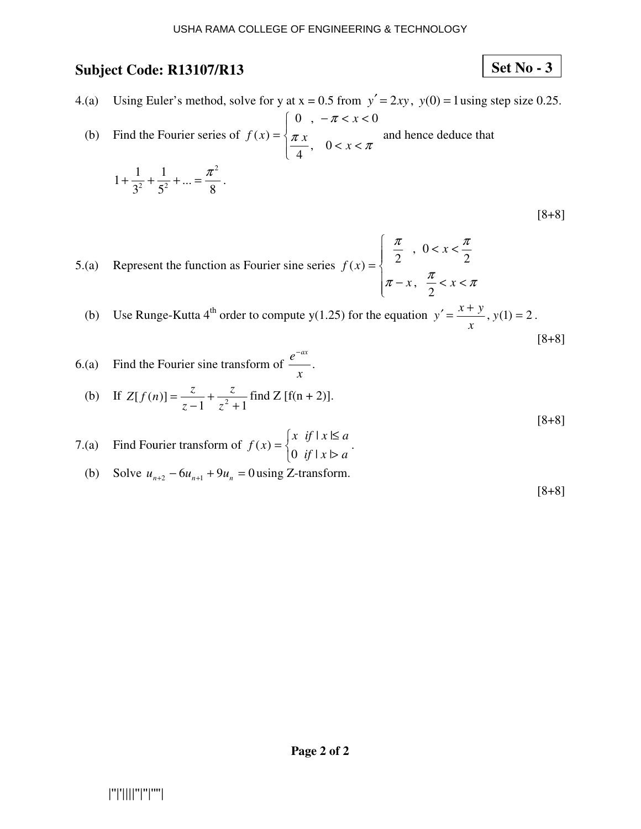5

3

# **Set No - 3**

4.(a) Using Euler's method, solve for y at  $x = 0.5$  from  $y' = 2xy$ ,  $y(0) = 1$  using step size 0.25.

 (b) Find the Fourier series of  $\overline{\mathcal{L}}$  $\overline{\phantom{a}}$ ∤  $\sqrt{ }$  $\langle x \rangle$  $-\pi < x <$  $=\begin{cases} \frac{\pi x}{x}, & 0 < x < \pi \end{cases}$ π  $\frac{x}{x}$ , 0 < *x x f x* , 0 4 0,  $-\pi < x < 0$  $f(x) = \frac{1}{x} \pi x$  and hence deduce that ... 1  $1 + \frac{1}{2}$ 2 2  $\zeta^2$  $+\frac{1}{2}+\frac{1}{3}+\ldots=\frac{\pi^{2}}{2}$ .

$$
[8+8]
$$

5.(a) Represent the function as Fourier sine series  $\overline{\phantom{a}}$  $\overline{\phantom{a}}$  $\mathfrak{r}$  $\overline{\phantom{a}}$ ∤  $\int$  $-x, \frac{\pi}{2} < x <$  $\langle x \rangle$ =  $\pi - x$ ,  $\frac{\pi}{-} < x < \pi$  $\pi$  π  $x, \frac{x}{2} < x$ *x f x* 2 , 2 0,  $(x) = \begin{cases} 2 & 2 \end{cases}$  2

(b) Use Runge-Kutta 4<sup>th</sup> order to compute y(1.25) for the equation  $y' = \frac{x + y}{y}$ ,  $y(1) = 2$ *x*  $y' = \frac{x + y}{y}$ ,  $y(1) = 2$ . [8+8]

- 6.(a) Find the Fourier sine transform of  $\frac{c}{\cdots}$ . *x e* −*ax*
- (b) If  $[f(n)] = \frac{z}{z-1} + \frac{z}{z^2+1}$ + − = *z z z*  $Z[f(n)] = \frac{z}{\sqrt{1 + \frac{z}{n}} + \frac{z}{\sqrt{1 + \frac{z}{n}}}$  find Z [f(n + 2)].

8

- 7.(a) Find Fourier transform of  $\overline{\mathcal{L}}$ ∤  $\int$ > ≤ = *if*  $|x| > a$  $x \text{ if } |x| \leq a$ *f x* 0 if  $|x|$  $|x|$  $(x) = \begin{cases} 0 & \text{if } x \neq 0 \\ 0 & \text{if } x = 0 \end{cases}$ 
	- (b) Solve  $u_{n+2} 6u_{n+1} + 9u_n = 0$  using Z-transform.

[8+8]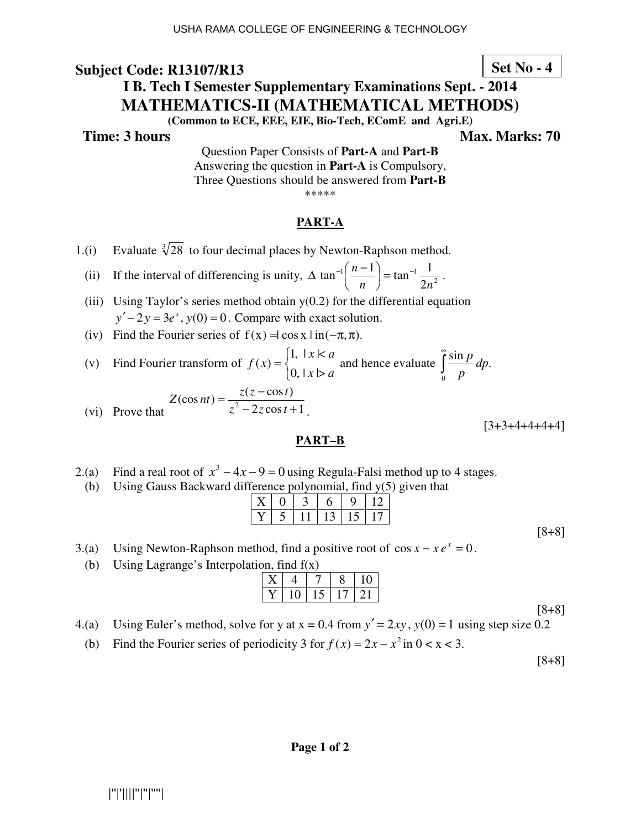# **Set No - 4**

# **I B. Tech I Semester Supplementary Examinations Sept. - 2014 MATHEMATICS-II (MATHEMATICAL METHODS)**

**(Common to ECE, EEE, EIE, Bio-Tech, EComE and Agri.E)** 

**Time: 3 hours Max. Marks: 70 Max. Marks: 70** 

Question Paper Consists of **Part-A** and **Part-B** Answering the question in **Part-A** is Compulsory, Three Questions should be answered from **Part-B** \*\*\*\*\*

## **PART-A**

- 1.(i) Evaluate  $\sqrt[3]{28}$  to four decimal places by Newton-Raphson method.
- (ii) If the interval of differencing is unity,  $\Delta \tan^{-1}\left(\frac{n-1}{n}\right) = \tan^{-1}\frac{1}{2n^2}$ 2  $\tan^{-1}\left(\frac{n-1}{n}\right) = \tan^{-1}\frac{1}{2}$ *n n*  $\left(\frac{n-1}{n}\right)$  = tan<sup>-1</sup> J  $\left(\frac{n-1}{n}\right)$ l  $\Delta \tan^{-1} \left( \frac{n-1}{n} \right) = \tan^{-1} \frac{1}{2^n}.$ 
	- (iii) Using Taylor's series method obtain  $y(0.2)$  for the differential equation  $y' - 2y = 3e^x$ ,  $y(0) = 0$ . Compare with exact solution.
	- (iv) Find the Fourier series of  $f(x) = \cos x \cdot \ln(-\pi, \pi)$ .
- (v) Find Fourier transform of  $\mathcal{L}$ ∤  $\int$ >  $\prec$ =  $x \triangleright a$  $x \nless a$ *f x*  $|0,|x|$  $f(x) =\begin{cases} 1, & x \leq a \\ 0 & x \leq a \end{cases}$  and hence evaluate  $\int_a^b$  $\mathbf{0}$  $\frac{\sin p}{\sin p}$ *dp*. *p p*

$$
Z(\cos nt) = \frac{z(z - \cos t)}{z^2 - 2z \cos t + 1}.
$$

#### $[3+3+4+4+4+4]$

## **PART–B**

- 2.(a) Find a real root of  $x^3 4x 9 = 0$  using Regula-Falsi method up to 4 stages.
- (b) Using Gauss Backward difference polynomial, find y(5) given that

|  | $5$   11   13   15   17 |  |  |
|--|-------------------------|--|--|

- 3.(a) Using Newton-Raphson method, find a positive root of  $\cos x x e^x = 0$ .
- (b) Using Lagrange's Interpolation, find f(x)

|    |          | ◠ | 10         |
|----|----------|---|------------|
| 10 | $\Delta$ |   | $\gamma$ 1 |

[8+8]

[8+8]

- 4.(a) Using Euler's method, solve for y at  $x = 0.4$  from  $y' = 2xy$ ,  $y(0) = 1$  using step size 0.2
- (b) Find the Fourier series of periodicity 3 for  $f(x) = 2x x^2$  in  $0 < x < 3$ .